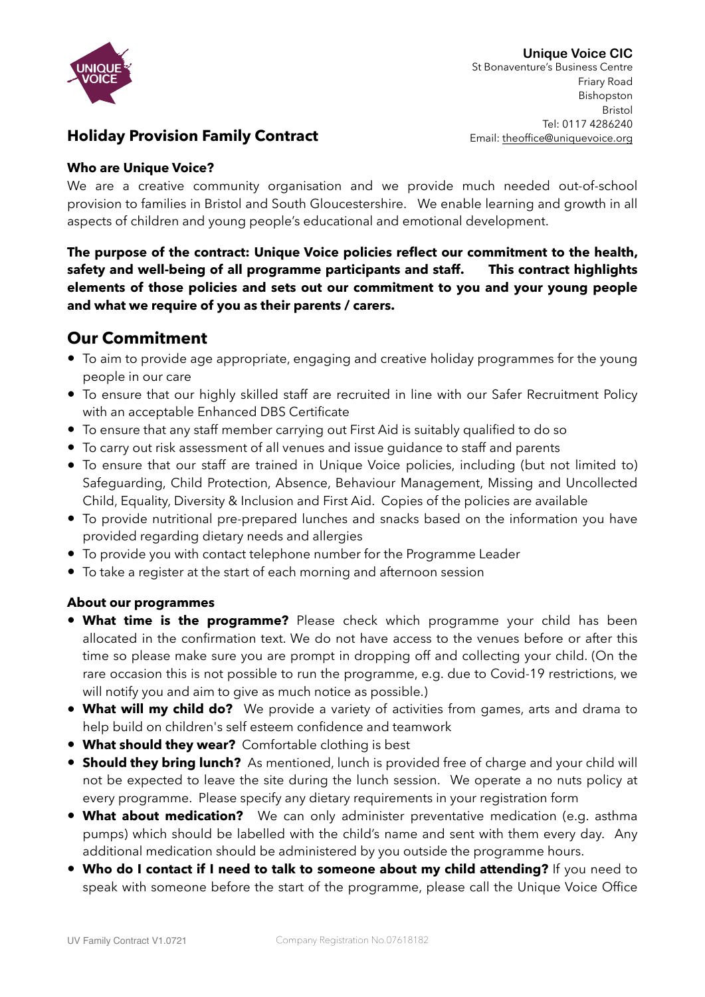

## **Holiday Provision Family Contract**

## **Who are Unique Voice?**

We are a creative community organisation and we provide much needed out-of-school provision to families in Bristol and South Gloucestershire. We enable learning and growth in all aspects of children and young people's educational and emotional development.

**The purpose of the contract: Unique Voice policies reflect our commitment to the health, safety and well-being of all programme participants and staff. This contract highlights elements of those policies and sets out our commitment to you and your young people and what we require of you as their parents / carers.** 

# **Our Commitment**

- To aim to provide age appropriate, engaging and creative holiday programmes for the young people in our care
- To ensure that our highly skilled staff are recruited in line with our Safer Recruitment Policy with an acceptable Enhanced DBS Certificate
- To ensure that any staff member carrying out First Aid is suitably qualified to do so
- To carry out risk assessment of all venues and issue guidance to staff and parents
- To ensure that our staff are trained in Unique Voice policies, including (but not limited to) Safeguarding, Child Protection, Absence, Behaviour Management, Missing and Uncollected Child, Equality, Diversity & Inclusion and First Aid. Copies of the policies are available
- To provide nutritional pre-prepared lunches and snacks based on the information you have provided regarding dietary needs and allergies
- To provide you with contact telephone number for the Programme Leader
- To take a register at the start of each morning and afternoon session

## **About our programmes**

- **What time is the programme?** Please check which programme your child has been allocated in the confirmation text. We do not have access to the venues before or after this time so please make sure you are prompt in dropping off and collecting your child. (On the rare occasion this is not possible to run the programme, e.g. due to Covid-19 restrictions, we will notify you and aim to give as much notice as possible.)
- **• What will my child do?** We provide a variety of activities from games, arts and drama to help build on children's self esteem confidence and teamwork
- **• What should they wear?** Comfortable clothing is best
- **• Should they bring lunch?** As mentioned, lunch is provided free of charge and your child will not be expected to leave the site during the lunch session. We operate a no nuts policy at every programme. Please specify any dietary requirements in your registration form
- **• What about medication?** We can only administer preventative medication (e.g. asthma pumps) which should be labelled with the child's name and sent with them every day. Any additional medication should be administered by you outside the programme hours.
- **• Who do I contact if I need to talk to someone about my child attending?** If you need to speak with someone before the start of the programme, please call the Unique Voice Office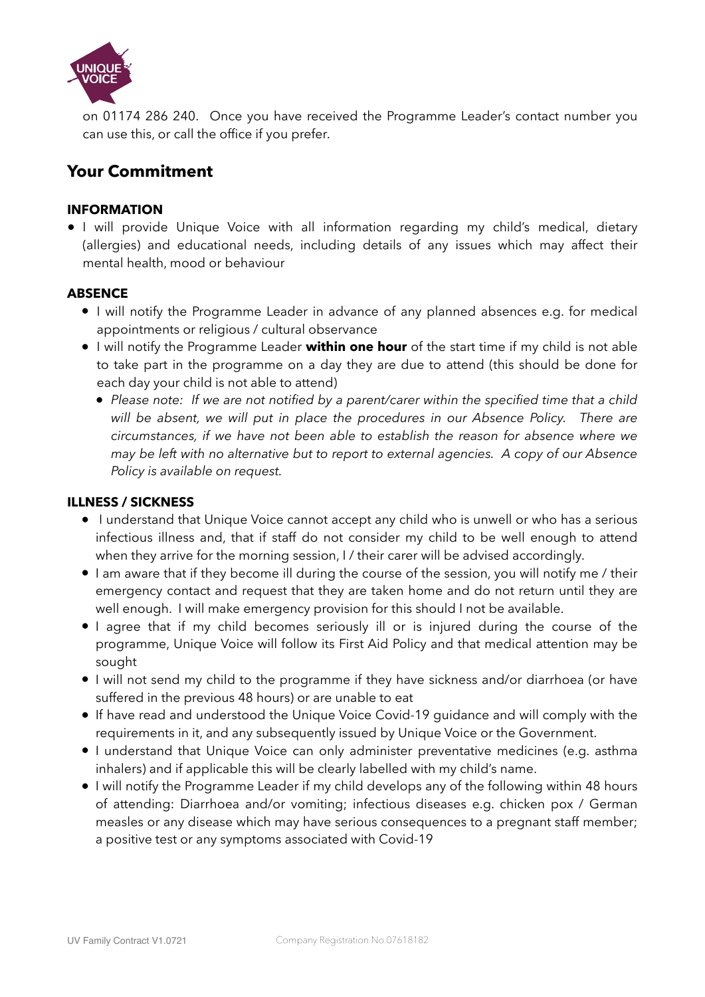

on 01174 286 240. Once you have received the Programme Leader's contact number you can use this, or call the office if you prefer.

# **Your Commitment**

## **INFORMATION**

**•** I will provide Unique Voice with all information regarding my child's medical, dietary (allergies) and educational needs, including details of any issues which may affect their mental health, mood or behaviour

#### **ABSENCE**

- **•** I will notify the Programme Leader in advance of any planned absences e.g. for medical appointments or religious / cultural observance
- **•** I will notify the Programme Leader **within one hour** of the start time if my child is not able to take part in the programme on a day they are due to attend (this should be done for each day your child is not able to attend)
	- Please note: If we are not notified by a parent/carer within the specified time that a child will be absent, we will put in place the procedures in our Absence Policy. There are *circumstances, if we have not been able to establish the reason for absence where we may be left with no alternative but to report to external agencies. A copy of our Absence Policy is available on request.*

#### **ILLNESS / SICKNESS**

- **•** I understand that Unique Voice cannot accept any child who is unwell or who has a serious infectious illness and, that if staff do not consider my child to be well enough to attend when they arrive for the morning session, I / their carer will be advised accordingly.
- **•** I am aware that if they become ill during the course of the session, you will notify me / their emergency contact and request that they are taken home and do not return until they are well enough. I will make emergency provision for this should I not be available.
- **•** I agree that if my child becomes seriously ill or is injured during the course of the programme, Unique Voice will follow its First Aid Policy and that medical attention may be sought
- **•** I will not send my child to the programme if they have sickness and/or diarrhoea (or have suffered in the previous 48 hours) or are unable to eat
- **•** If have read and understood the Unique Voice Covid-19 guidance and will comply with the requirements in it, and any subsequently issued by Unique Voice or the Government.
- **•** I understand that Unique Voice can only administer preventative medicines (e.g. asthma inhalers) and if applicable this will be clearly labelled with my child's name.
- **•** I will notify the Programme Leader if my child develops any of the following within 48 hours of attending: Diarrhoea and/or vomiting; infectious diseases e.g. chicken pox / German measles or any disease which may have serious consequences to a pregnant staff member; a positive test or any symptoms associated with Covid-19